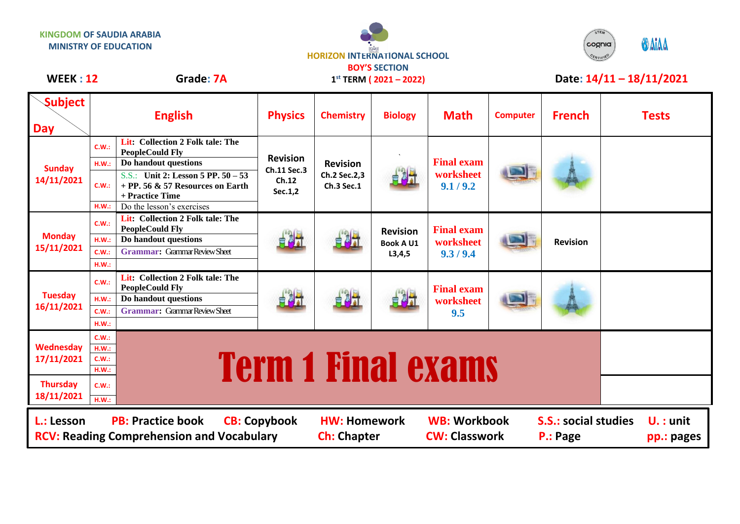



## WEEK : 12 **Grade: 7A** 1<sup>st</sup> TERM (2021 – 2022) **Date: 14/11 – 18/11/2021**

**1 st TERM ( 2021 – 2022)**

| <b>Subject</b><br><b>Day</b>                                                                                                                                                                                                                                                          | <b>English</b>                                                |                                                                                                                                                                                                                 | <b>Physics</b>                                     | <b>Chemistry</b>                              | <b>Biology</b>                                  | <b>Math</b>                                 | <b>Computer</b> | <b>French</b>   |  | <b>Tests</b> |
|---------------------------------------------------------------------------------------------------------------------------------------------------------------------------------------------------------------------------------------------------------------------------------------|---------------------------------------------------------------|-----------------------------------------------------------------------------------------------------------------------------------------------------------------------------------------------------------------|----------------------------------------------------|-----------------------------------------------|-------------------------------------------------|---------------------------------------------|-----------------|-----------------|--|--------------|
| <b>Sunday</b><br>14/11/2021                                                                                                                                                                                                                                                           | C.W.:<br>H.W.:<br>C.W.:<br>H.W.:                              | Lit: Collection 2 Folk tale: The<br><b>PeopleCould Fly</b><br>Do handout questions<br>S.S.: Unit 2: Lesson 5 PP. 50 - 53<br>+ PP. 56 $\&$ 57 Resources on Earth<br>+ Practice Time<br>Do the lesson's exercises | <b>Revision</b><br>Ch.11 Sec.3<br>Ch.12<br>Sec.1,2 | <b>Revision</b><br>Ch.2 Sec.2,3<br>Ch.3 Sec.1 |                                                 | <b>Final exam</b><br>worksheet<br>9.1 / 9.2 |                 |                 |  |              |
| <b>Monday</b><br>15/11/2021                                                                                                                                                                                                                                                           | C.W.:<br>H.W.:<br>C.W.:<br>H.W.:                              | Lit: Collection 2 Folk tale: The<br><b>PeopleCould Fly</b><br>Do handout questions<br><b>Grammar: Grammar Review Sheet</b>                                                                                      | 背对于                                                | 自利力                                           | <b>Revision</b><br><b>Book A U1</b><br>L3, 4, 5 | <b>Final exam</b><br>worksheet<br>9.3 / 9.4 |                 | <b>Revision</b> |  |              |
| <b>Tuesday</b><br>16/11/2021                                                                                                                                                                                                                                                          | C.W.:<br>H.W.:<br>C.W.:<br>H.W.:                              | Lit: Collection 2 Folk tale: The<br><b>PeopleCould Fly</b><br>Do handout questions<br><b>Grammar:</b> Grammar Review Sheet                                                                                      | 自身計                                                | 电视                                            | 自利                                              | <b>Final exam</b><br>worksheet<br>9.5       |                 |                 |  |              |
| Wednesday<br>17/11/2021                                                                                                                                                                                                                                                               | C.W.:<br>H.W.:<br><b>Term 1 Final exams</b><br>C.W.:<br>H.W.: |                                                                                                                                                                                                                 |                                                    |                                               |                                                 |                                             |                 |                 |  |              |
| <b>Thursday</b><br>18/11/2021                                                                                                                                                                                                                                                         | C.W.:<br>H.W.:                                                |                                                                                                                                                                                                                 |                                                    |                                               |                                                 |                                             |                 |                 |  |              |
| <b>PB: Practice book</b><br><b>WB: Workbook</b><br><b>CB: Copybook</b><br><b>HW: Homework</b><br><b>S.S.: social studies</b><br>L.: Lesson<br>$U.$ : unit<br><b>CW: Classwork</b><br><b>RCV: Reading Comprehension and Vocabulary</b><br><b>Ch: Chapter</b><br>P.: Page<br>pp.: pages |                                                               |                                                                                                                                                                                                                 |                                                    |                                               |                                                 |                                             |                 |                 |  |              |